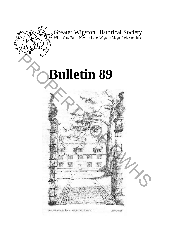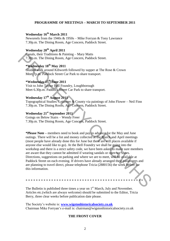## **PROGRAMME OF MEETINGS – MARCH TO SEPTEMBER 2011**

# **Wednesday 16th March 2011**

Newsreels from the 1940s & 1950s – Mike Forryan & Tony Lawrance 7.30p.m. The Dining Room, Age Concern, Paddock Street.

# **Wednesday 20th April 2011**

Canals, their Traditions & Painting – Mary Matts 7.30p.m. The Dining Room, Age Concern, Paddock Street.

# **\*Wednesday 18th May 2011**

Guided walk around Kibworth followed by supper at The Rose & Crown Meet 7p.m. Paddock Street Car Park to share transport.

# **\*Wednesday 15th June 2011**

Visit to John Taylor Bell Foundry, Loughborough Meet 6.30p.m. Paddock Street Car Park to share transport.

# **Wednesday 17th August 2011**

Topographical Studies: Leicester & County via paintings of John Flower – Neil Finn 7.30p.m. The Dining Room, Age Concern, Paddock Street.

## **Wednesday 21st September 2011**

Goings on Below Stairs – Wendy Freer 7.30p.m. The Dining Room, Age Concern, Paddock Street.

**\*Please Note –** members need to book and pay in advance for the May and June outings. There will be a list and money collected at the March and April meetings (most people have already done this for June but there are still places available if anyone else would like to go). At the Bell Foundry we shall be going into the workshop and there is a strict safety code, we have been asked to make sure members are aware that they cannot be admitted if wearing sandals or open toe shoes. Directions, suggestions on parking and where we are to meet, will be available at Paddock Street on each evening. If drivers have already arranged their passengers and are planning to travel direct, please telephone Tricia (2880156) the week before for this information. Canals, their Traditions & Painting – Mary Matts<br>
7.30p.m. The Dining Room, Age Concern, Paddock Street.<br> **Wednesday 18<sup>th</sup> May 2011**<br>
Guidel walk around Kibworth followed by supper at The Rose & Crown<br>
Meet To the Paddoc

\* \* \* \* \* \* \* \* \* \* \* \* \* \* \* \* \* \* \* \* \* \* \* \* \* \* \* \* \* \* \* \* \* \* \* \* \* \* \* \* \* \* \* \* \* \*

The Bulletin is published three times a year on  $1<sup>st</sup>$  March, July and November. Articles etc.(which are always welcome) should be submitted to the Editor, Tricia Berry, three clear weeks before publication date please.

The Society"s website is: **[www.wigstonhistoricalsociety.co.uk](http://www.wigstonhistoricalsociety.co.uk/)** Chairman Mike Forryan"s e-mail is: chairman@wigstonhistoricalsociety.co.uk

#### **THE FRONT COVER**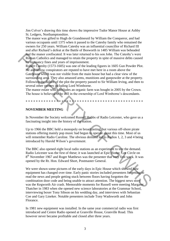Jim Colver"s drawing this time shows the impressive Tudor Manor House at Ashby St. Ledgers, Northamptonshire.

The manor was gifted to Hugh de Grandmesnil by William the Conqueror, and had various occupants until 1375 when it passed to the Catesby family who remained the owners for 250 years. William Catesby was an influential councillor of Richard III and after Richard"s defeat at the Battle of Bosworth in 1485 William was beheaded and the manor confiscated. It was later returned to his son John. The Catesby"s were Roman Catholics and managed to retain the property in spite of massive debts caused by recusancy fines and years of imprisonment.

Robert Catesby (1573-1605) was one of the leading figures in 1605 Gun Powder Plot. He and fellow conspirators are reputed to have met here in a room above the Gatehouse which was not visible from the main house but had a clear view of the surrounding area. They also amassed arms, munitions and gunpowder at the property. Following the failure of the plot the property passed to Sir William Irving, and then to several other owners including Lord Wimborne. **and** the unnor contiseded. It was later returned to his son John. The Catesby's were<br>Roman Carbies and managed to retuin the property in spite of massive debts caused<br>**By-consary** (First and gears of imprisomment.<br>**Hence** 

The manor estate which includes an organic farm was bought in 2005 by the Crown. The house is believed to be still in the ownership of Lord Wimborne's descendants.

\* \* \* \* \* \* \* \* \* \* \* \* \* \* \* \* \* \* \* \* \* \* \* \* \* \* \* \* \* \* \* \* \* \* \* \* \* \* \* \* \* \* \* \* \* \*

#### **NOVEMBER MEETING**

In November the Society welcomed Russell Hobbs of Radio Leicester, who gave us a fascinating insight into the history of the station.

Up to 1966 the BBC held a monopoly on broadcasting, but various off-shore pirate stations offering mainly pop music had begun to operate about this time. Most of us will remember Radio Caroline. The obvious demand led to Radios 1, 2, 3 and 4 being introduced by Harold Wilson"s government.

The BBC also opened eight local radio stations as an experiment to test the demand. Radio Leicester was the first of these; it was launched at Epic House, Lee Circle on 8<sup>th</sup> November 1967 and Roger Matthews was the presenter that very first week. It was opened by the Rt. Hon. Edward Short, Postmaster General.

We were shown some pictures of the early days in Epic House which showed how equipment has changed over time. Early panic stories included presenters forgetting to read the news and people getting stuck between floors having forgotten the combination door code and being unable to attract attention. The biggest news story was the Kegworth Air crash. Memorable moments for Russell were meeting Margaret Thatcher in 1983 when she opened new science laboratories at the Grammar School, interviewing boxer Tony Sibson on his wedding day, and interviews with Sebastian Coe and Gary Lineker. Notable presenters include Tony Wadsworth and John Florance.

In 1981 new equipment was installed. In the same year commercial radio was first introduced and Centre Radio opened at Granville House, Granville Road. This however never became profitable and closed after three years.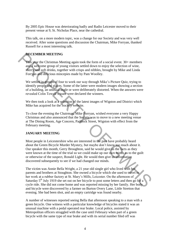By 2005 Epic House was deteriorating badly and Radio Leicester moved to their present venue at 9, St. Nicholas Place, near the cathedral.

This talk, on a more modern topic, was a change for our Society and was very well received. After some questions and discussion the Chairman, Mike Forryan, thanked Russell for a most interesting talk.

# **DECEMBER MEETING**

This year the Christmas Meeting again took the form of a social event. 30+ members and a welcome group of young visitors settled down to enjoy the selection of wine, sherry and soft drinks, together with crisps and nibbles, brought by Mike and Linda Forryan and delicious mincepies made by Pam Woolley.

We settled in groups of four to work our way through Mike's Picture Quiz, trying to identify people and places. Some of the latter were modern images showing a section of a building, an unusual angle or were deliberately distorted. When the answers were revealed Colin Towell"s team were declared the winners.

We then took a look at a selection of the latest images of Wigston and District which Mike has acquired for the Society website.

To close the evening the Chairman, Mike Forryan, wished everyone a very Happy Christmas and also announced that the Society was to move to a new meeting venue at The Dining Room, Age Concern, Paddock Street, Wigston with effect from the February meeting.

#### **JANUARY MEETING**

Most people in Leicestershire who are interested in the past have probably heard about the Green Bicycle Murder Mystery, but maybe don"t know too much about it. Our speaker this month, Gerry Broughton, said he would give us the facts as they were known at the time of the trial so we could make up our own minds as to the guilt or otherwise of the suspect, Ronald Light. He would then give us information discovered subsequently to see if we had changed our minds. **DECEMBER MEETING**<br>
This year the Christmas Metering again took the form of a social event. 30- members<br>
and a welcome group of young visitors settled down to enjoy the selection of wine,<br>
sherry and soft drinks, together

The victim was Annie Bella Wright, a 21 year old single girl who lived with her parents and brothers at Stoughton. She owned a bicycle which she used to travel to her work at a rubber factory at St. Mary"s Mills, Leicester. On the afternoon of Saturday 5<sup>th</sup> July 1919 she set out on her bicycle to post some letters and then go for a cycle ride. She did not come home and was reported missing by her family. Her body and bicycle were discovered by a farmer on Burton Overy Lane, Little Stretton that evening. She had been shot, and an empty cartridge was found nearby.

A number of witnesses reported seeing Bella that afternoon speaking to a man with a green bicycle. One witness with a particular knowledge of bicycles stated it was an unusual machine with a pedal operated rear brake. Local police, assisted by Metropolitan officers struggled with the case until February when part of a green bicycle with the same type of rear brake and with its serial number filed off was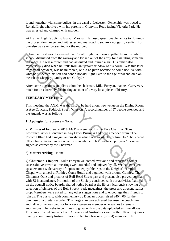found, together with some bullets, in the canal at Leicester. Ownership was traced to Ronald Light who lived with his parents in Granville Road facing Victoria Park. He was arrested and charged with murder.

At his trial Light"s defense lawyer Marshall Hall used questionable tactics to flummox the prosecution lawyer and witnesses and managed to secure a not guilty verdict. No one else was ever prosecuted for the murder.

Subsequently it was discovered that Ronald Light had been expelled from his public school, dismissed from the railway and kicked out of the army for assaulting someone in France. He was a forger and had assaulted and injured a girl. His father also mysteriously died when he "fell" from an upstairs window of his house. Was this later tragedy an accident, was he murdered, or did he jump because he could not live with what he suspected his son had done? Ronald Light lived to the age of 90 and died on the Isle of Sheppey. Guilty or not Guilty??

After some questions and discussion the chairman, Mike Forryan, thanked Gerry very much for an extremely fascinating account of a very local piece of history.

# **FEBRUARY MEETING**

This meeting, the AGM, was the first to be held at our new venue in the Dining Room at Age Concern, Paddock Street, Wigston. A record number of 57 people attended and the Agenda was as follows:

**1) Apologies for absence** – None.

**2) Minutes of February 2010 AGM** – were read by the Vice Chairman Tony Lawrance. After a sentence in Any Other Business had been amended from "The Record Office had a magic lantern show which was available for hire" to "The Record Office had a magic lantern which was available to borrow twice per year" these were signed as correct by the Chairman.

**3) Matters Arising** – None.

**4) Chairman's Report** - Mike Forryan welcomed everyone and reported another successful year with all meetings well attended and enjoyed by all. We had excellent speakers on a wide variety of topics and enjoyable trips to the Knights' Templar Chapel with a meal at Rothley Court Hotel, and a guided walk around Gumley. The Christmas Quiz and pictures of Bull Head Street past and present also proved popular with 33 in attendance. Promotion of the Society continues with our activities featured on the council notice boards, shared notice board at the library (currently showing a selection of pictures of old Bell Street), trade magazines, the press and a recent leaflet drop. Members were asked for any other suggestions and to encourage their friends to join us. The bus trip, with commentary by Duncan Lucas raised £404. 00 for the purchase of a digital recorder. This large sum was achieved because the coach hire and raffle prize was paid for by a very generous member who wishes to remain anonymous. The website continues to grow with more data uploaded as time allows. This has attracted contacts from America and Australia as well as the UK with queries mainly about family history. It has also led to a few new (postal) members. He Subsequently it was discovered that Ronald Light had been expelled from his public<br>scheed, dismissed from the railway and kicked out of the army for assaulting someon<br>in France. He was a forger and had assaulted and nijur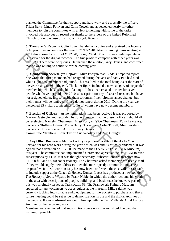thanked the Committee for their support and hard work and especially the officers Tricia Berry, Linda Forryan and Colin Towell and appealed earnestly for other members to join the committee with a view to helping with some of the tasks involved. He also put on record our thanks to the Elders of the United Reformed Church for our past use of the Boys" Brigade Rooms.

**5) Treasurer's Report** – Colin Towell handed out copies and explained the Income & Expenditure Account for the year to 31/12/2010. After removing items relating to 2011 this showed a profit of £522. 70, though £404. 00 of this was quite separate, and is reserved for the digital recorder. The true profit to compare with other years was £118. 70. There were no queries. He thanked the auditor, Gary Davies, and confirmed that he was willing to continue for the coming year.

**6) Membership Secretary's Report** – Mike Forryan read Linda"s prepared report. She wrote that three members had resigned during the year and sadly two had died, while eight new members had joined. This resulted in the total being 83 at the start of the year rising to 86 at the end. The latter figure included a new category of suspended membership which caused a bit of a laugh! It has been created to cater for seven people who have not paid their 2010 subscription for any of several reasons, but have not resigned either. It is to enable them to return if their circumstances change, but their names will be removed if they do not renew during 2011. During the year we welcomed 35 visitors to meetings some of whom have now become members.

**7) Election of Offi**cers – As no nominations had been received it was proposed by Marion Daetwyler and seconded by John Standley that the present officers should all be re-elected. Namely: **Chairman:** Mike Forryan, **Vice Chairman:** Tony Lawrance, **Secretary/Bulletin Editor:** Tricia Berry, **Treasurer:** Colin Towell, **Membership Secretary:** Linda Forryan, **Auditor:** Gary Davies.

**Committee Members:** Edna Taylor, Sue Woolley and Ruth Granger.

**8) Any Other Business** – Marion Daetwyler proposed a vote of thanks to Mike Forryan for his hard work during the year, which was enthusiastically endorsed. It was agreed that a donation of £150. 00 be made to the O  $&$  WBP Trust (FWK Museum) this year. The committee had implemented a provision agreed at the last AGM to raise subscriptions by £1. 00 if it was thought necessary. Subscriptions are therefore now £11. 00 full and £8. 00 concessionary. The Chairman asked members who used e-mail if they would supply their addresses to enable more speedy communication. The proposed visit to Kibworth in May has now been confirmed, the cost will be £12 each to include supper at the Coach & Horses. Duncan Lucas has produced a new booklet *The History of South Wigston* by Frank Noble, in which the author recounts his youth in the area with descriptions of people, buildings and businesses he knew. A part of this was originally issued as Transaction 63. The Framework Knitters Museum appealed for any volunteers to act as guides at the museum. Mike said he was currently looking into suitable audio equipment for the Society to purchase and that a future meeting could be set aside to demonstration its use and the digital archives on the website. It was confirmed we would link up with the East Midlands Aural History Archive for the recording work. 2011 this showed a proof of ES222. 70, though £440. 00 of this was quie separate, and this was confirmed that was moreover to the digital recorder. The true profit to compare with other years was EH'S, 20. There were no q

Members were reminded that subscriptions were now due and should be paid that evening if possible.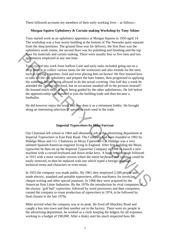There followed accounts my members of their early working lives – as follows:-

# **Morgan Squires Upholstery & Curtain making Workshop by Tony Atkins**

Tony started work as an upholstery apprentice at Morgan Squires in 1950 aged 14. The workshop was a four storey building at the bottom of The Newarke quite separate from the shop premises. The ground floor was for delivery, the first floor was the upholstery work rooms, the second floor was for polishing and finishing and the top floor for materials and curtain making. There were usually four or five men and two apprentices employed at any one time.

Tony cycled into work from Saffron Lane and early tasks included going out on a shop bicycle to collect various items for the workroom and also errands for the men, such as buying cigarettes, food and even placing bets on horses! He first learned how to take off the old upholstery and prepare the bare frames, then progressed to applying the webbing, before being allowed to do the actual covering. One half day a week he attended the Technical School, but on occasions sneaked off to the pictures instead!! He learned much more at work being guided by the other upholsterers. He left before the apprenticeship was finished to join the building trade and then became a footballer. From materials and curtain making. There were usually four or five men and two<br>
apprentices employed at any one time.<br>
Topy cycled into work from Saffron Lane and early tasks included going out on a<br>
shop histole to collec

He did however enjoy the work and now does it as a retirement hobby. He brought along an interesting selection of specialist tools used in the trade.

**- - - - - - -** 

#### **Imperial Typewriters by Mike Forryan**

Our Chairman left school in 1964 and obtained a job in the advertising department at Imperial Typewriters in East Park Road. The Company had been founded in 1902 by Hidalgo Moya and J.G. Chattaway as Moya Typewriter Co. Hidalgo was a very talented Spanish/American engineer living in England. After first building the Moya typewriter he then set up the Imperial Typewriter Company in 1908 to launch a new machine with a curved keyboard and down strike keys. A huge breakthrough followed in 1915 with a more versatile version where the entire keyboard and typeface could be easily removed, to then be replaced with one which typed a foreign language, technical terms and characters or even music.

In 1953 the company was made public. By 1961 they employed 2,500 people and made electric, standard and portable typewriters, office machinery for invoicing, cheque-writing and other special purposes. In 1966 they were acquired by the American firm Litton Industries. By the 1970s the introduction by rival companies of the electric "golf ball" typewriter, followed by word processors and then computers, caused the company to cease production of typewriters in 1974, to be followed by final closure in the late 1970s.

Mike arrived when the company was at its peak. He lived off Hinckley Road and caught a bus into town and then another out to the factory. There were six people in the advertising department, he worked as a clerk keeping the ledgers for all expenses, working to a budget of £90,000. After a shaky start his much respected boss Mr.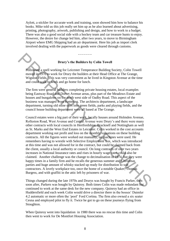Aylott, a stickler for accurate work and training, soon showed him how to balance his books. Mike told us this job really set him up as he also learned about advertising, printing, photography, artwork, publishing and design, and how to work to a budget. There was also a good social side with a hockey team and car treasure hunts to enjoy. However, the desire for change led him, after two years, to move to Birmingham Airport where EMG Shipping had an air department. Here his job as import clerk involved dealing with the paperwork as goods were cleared through customs.

# **Drury's the Builders by Colin Towell**

**- - - - - - -** 

Following a spell working for Leicester Temperance Building Society, Colin Towell moved in 1970 to work for Drury the builders at their Head Office at The Grange, Wigston Fields. This was very convenient as he lived in Kingston Avenue at the time and could walk to work and go home for lunch.

The firm were general builders completing private housing estates, local examples being Eastway Road and Dorset Avenue areas, plus part of the Meadows Estate and houses and bungalows on the north west side of Oadby Road. This aspect of the business was managed from Kettering. The architects department, a landscape department, turning old mine sites into green fields, parks and playing fields, and the council house building department were all based at The Grange.

Council estates were a big part of their work, locally houses around Holmden Avenue, Rolleston Road, West Avenue and Central Avenue were Drury"s and there were many other contracts with local councils in Hertfordshire, Bracknell and Nottingham as well as St. Marks and the West End Estates in Leicester. Colin worked in the cost accounts department working out profit and loss on the monthly valuations on these building contracts. All the figures were worked out manually, no machines were used. He remembers having to wrestle with Selective Employment Tax, which was introduced at this time and was not allowed for in the contract, but could be claimed back from the client, usually a local authority or council. On long contracts of over two years increases in National Insurance rates and rises in hourly wage rates could also be claimed. Another challenge was the change to decimalisation in 1974, but they were happy times in a family firm and he recalls the generous summer and Christmas parties and huge amount of whisky stacked up ready for distribution to sub contractors. A lovely workplace too, once the home of a notable Quaker, Thomas Burgess, and with graffiti in the attic left by prisoners of war. **Example 18 Society** Provides and the Builders by Colin Towell<br> **Example 18 Society.** Colin Towell<br>
moved in 1970 to work for Dray the builders at their Head Office at The Grange,<br>
moved in 1970 to work for Dray the builde

Things changed during the late 1970s and Drurys was bought by Francis Parker, then soon after, Parkers was bought by Quinroy. Both times Colin was made redundant but continued to work at the same desk for the new company. Quinroy had an office in Huddersfield and each week Colin would drive a director there in the bosses" Daimler 4.2 automatic or more often the "pool" Ford Cortina. The firm also owned a six seater Cesna and employed pilot to fly it. Twice he got to go on these journeys flying from Stoughton.

When Quinroy went into liquidation in 1980 there was no rescue this time and Colin then went to work for De Montfort Housing Association.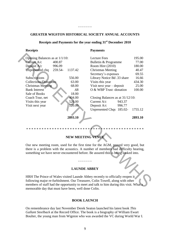#### **- - - - - - -**

#### **GREATER WIGSTON HISTORICAL SOCIETY ANNUAL ACCOUNTS**

# **Receipts Payments**  Opening Balances as at  $1/1/10$ : Lecture Fees 195.00 Current A/c 400.87 Bulletin & Programme 77.00 Deposit A/c 996.09 Room Hire (2010) 180.00 Unpresented chq 259.54- 1137.42 Christmas Meeting 40.47 Secretary's expenses 69.55 Subscriptions 556.00 Library Notice Bd .33 share 16.66 Collections/Donations 63.00 Visits this year 434.30 Christmas Meeting 68.00 Visit next year – deposit 25.00 Bank Interest ... 68 O & WBP Trust -donation 100.00 Sale of Books 18.00 Coach Tour, net 404.00 Closing Balances as at 31/12/10: Visits this year 526.00 Current A/c 943.37 Visit next year 120.00 Deposit A/c 996.77 Unpresented Chqs 185.02- 1755.12 **2893.10 2893.10 Correspond Area**<br>
Correspond Area (100,87<br>
2000 Depresented chq 259.54<br>
2010) Bandelin & Programme<br>
Deposit Area (996.09 Bulletin & Programme 195.00<br>
2010) IB0.00<br>
Universe Sources are a set allows the secretary's experi

# **Receipts and Payments for the year ending 31st December 2010**

# **NEW MEETING VENUE**

\* \* \* \* \* \* \* \* \* \* \* \* \* \* \* \* \* \* \* \* \* \* \* \* \* \* \* \* \* \* \* \* \* \* \* \* \* \* \* \* \* \* \* \* \* \*

Our new meeting room, used for the first time for the AGM, proved very good, but there is a problem with the acoustics. A number of members had difficulty hearing, something we have never encountered before. Be assured this is being looked into.

#### **LAUNDE ABBEY**

**- - - - - - -** 

HRH The Prince of Wales visited Launde Abbey recently to officially reopen it following major re-furbishment. Our Treasurer, Colin Towell, along with other members of staff had the opportunity to meet and talk to him during this visit. What a memorable day that must have been, well done Colin.

#### **BOOK LAUNCH**

On remembrance day last November Derek Seaton launched his latest book *This Gallant Steelback* at the Record Office. The book is a biography of William Ewart Boulter, the young man from Wigston who was awarded the VC during World War I.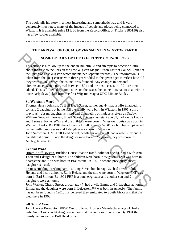The book tells his story in a most interesting and sympathetic way and is very generously illustrated, many of the images of people and places being connected to Wigston. It is available price £11. 00 from the Record Office, or Tricia (2880156) also has a few copies available.

\* \* \* \* \* \* \* \* \* \* \* \* \* \* \* \* \* \* \* \* \* \* \* \* \* \* \* \* \* \* \* \* \* \* \* \* \* \* \* \* \* \* \* \* \* \*

# **THE ARRIVAL OF LOCAL GOVERNMENT IN WIGSTON PART II**

# **SOME DETAILS OF THE 15 ELECTED COUNCILLORS**

This article is a follow-up to the one in Bulletin 88 and attempts to describe a little about the first councillors on the new Wigston Magna Urban District Council, (but not the Parish of East Wigston which maintained separate records). The information is taken from the 1891 census with three years added to the given ages to reflect how old they were in 1894 when the council was founded. Any changes in personal circumstances which occurred between 1891 and the next census in 1901 are then added. This is followed by some notes on the issues the councillors had to deal with in those early days (taken from the first Wigston Magna UDC Minute Book). **SOME DETAILS OF THE IS ELECTED COUNCILLIORS**<br>
This article is a follow-up to the one in Bulletin 88 and attempts to describe a little<br>
about the first councillors on the new Wigston Magna Urban District Council, thu not<br>

#### **St. Wolstan's Ward**

Thomas Henry Johnson, 78 Bull Head Street, farmer age 44, had a wife Elizabeth, 1 son and 2 daughters at home. All the family were born in Wigston. In 1901 a third previously absent daughter is listed and Elizabeth"s birthplace is given as Oadby. William Goodwin Forryan, 8 Bell Street, butchery assistant age 35, had a wife Louisa and 3 sons at home. WGF and the children were born in Wigston, Louisa was born in Wytham, Berks. By 1901 the address is 4 Bell Street & WGF is a butcher/shopkeeper/ farmer with 3 more sons and 1 daughter also born in Wigston.

John Snowden, 11/13 Bull Head Street, needle maker age 68, had a wife Lucy and 1 daughter at home. JS and the daughter were born in Wigston, Lucy was born in Ashley, Northants.

#### **Central Ward**

Hiram Abiff Owston, Bushloe House, Station Road, solicitor age 64, had a wife Ann, 1 son and 1 daughter at home. The children were born in Wigston, HAO was born in Snarestone and Ann was born in Braunstone. In 1901 a second previously absent daughter is listed.

Francis Hickling Freckingham, 16 Long Street, butcher age 27, had a wife Edith Helena, and 1 son at home. Edith Helena and the son were born in Wigston, FHF was born in Earl Shilton. By 1901 FHF is a butcher/grazier and another son and 2 daughters were at home.

John Walker, Cherry Street, grocer age 47, had a wife Emma and 1 daughter at home. Emma and the daughter were born in Leicester, JW was born in Arnesby. The family has not been found in 1901, it is believed they emigrated to South Africa and that JW died there in 1903.

#### **All Saints' Ward**

John Daykin Broughton, 88/90 Welford Road, Hosiery Manufacturer age 41, had a wife Ann, 3 sons and 4 daughters at home. All were born in Wigston. By 1901 the family had moved to Bull Head Street.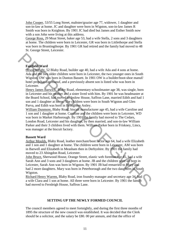John Cooper, 53/55 Long Street, maltster/grazier age 77, widower, 1 daughter and son-in-law at home. JC and daughter were born in Wigston, son-in-law James R Smith was born in Knighton. By 1901 JC had died but James and Esther Smith now with a son John were living at this address.

George Ross, 29 Moat Street, baker age 53, had a wife Stella, 2 sons and 3 daughters at home. The children were born in Leicester, GR was born in Littlethorpe and Stella was born in Bruntingthorpe. By 1901 GR had retired and the family had moved to 48 St. George Street, Leicester.

# **Fairfield Ward**

Orson Wright, 52 Blaby Road, builder age 40, had a wife Ada and 4 sons at home. Ada and the two older children were born in Leicester, the two younger ones in South Wigston. OW was born in Dunton Bassett. In 1901 OW is a builder/boot-shoe manuf/ hotel prop/hat-cap manuf, and a previously absent son is listed who was born in Leicester.

Henry James Barwick, Blaby Road, elementary schoolmaster age 38, was single, born in Leicester and his mother and a sister lived with him. By 1901 he was headmaster at the Board School, had moved to Inslow House, Saffron Lane, married Edith and had 1 son and 1 daughter at home. The children were born in South Wigston and Glen Parva, and Edith was born in Broughton Astley.

William Dunmore, Blaby Road, biscuit manufacturer age 45, had a wife Caroline and 1 son and 1 daughter at home. Caroline and the children were born in Leicester, WD was born in Market Harborough. By 1901 the family had moved to The Cedars, London Road, Leicester and his daughter, by then married, and son-in-law William Parker and their 3 children lived with them. William Parker born in Friskney, Lincs, was manager at the biscuit factory. **Fairfield Ward**<br> **Cosm Wright**, 52 Blaby Road, builder age 40, had a wife Ada and 4 sons at home<br>
Ada and the two obles children were born in Leicester, the two younger ones in South<br>
Migston (OW was born in Dunton Basse

#### **Bassett Ward**

Arthur Moulds, Blaby Road, leather merchant/boot factor age 64, had a wife Elizabeth and 1 son and 1 daughter at home. The children were born in Leicester, AM was born in Barwell and Elizabeth in Measham then in Derbyshire. By 1901 the family had moved to 23 Abingdon Road, Leicester.

John Bruce, Sherwood House, Orange Street, elastic web foreman age 45, had a wife Sarah Ann and 3 sons and 3 daughters at home. JB and the children were all born in Leicester, Sarah Ann was born in Wigston. By 1901 JB had remarried to Mary and had 2 more daughters. Mary was born in Peterborough and the two daughters in South Wigston.

Richard Henry Warren, Blaby Road, iron foundry manager and secretary age 34, had a wife Clara and 1 son at home. All three were born in Leicester. By 1901 the family had moved to Fernleigh House, Saffron Lane.

#### **SETTING UP THE NEWLY FORMED COUNCIL**

The council members agreed to meet fortnightly, and during the first three months of 1895 the structure of the new council was established. It was decided that the Clerk should be a solicitor, and the salary be £80. 00 per annum, and that the office of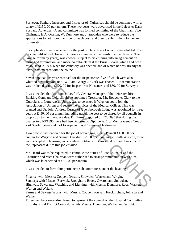Surveyor, Sanitary Inspector and Inspector of Nuisances should be combined with a salary of £150. 00 per annum. These two posts were advertised in the Leicester Daily Post and Advertiser. A sub committee was formed consisting of the Chairman, Vice Chairman, H.A. Owston, W. Dunmore and J. Snowden who were to reduce the applications to not more than five for each post, and then to submit them to the next full meeting.

Six applications were received for the post of clerk, five of which were whittled down by vote until Alfred Howard Burgess (a member of the family that had lived at The Grange for many years), was chosen, subject to his entering into an agreement on terms and termination, and made no extra claim if the Burial Board (which had been established in 1880 when the cemetery was opened, and of which he was already the Clerk) was merged with the council.

Seven applications were received for the Inspectorate, five of which were also whittled down by vote until William George J. Clark was chosen. His remuneration was broken down to £120. 00 for Inspector of Nuisances and £30. 00 for Surveyor.

It was decided that Mr. James Lawford, General Manager of the Leicestershire Banking Company Ltd., should be appointed Treasurer. Mr. Bodycote, Clerk to the Guardians of Lutterworth Union, was to be asked if Wigston could join the Association of Unions and secure the services of the Medical Officer. This was granted and Dr. John Andrew Turner of Queniborough Lodge was appointed for three years at £450. 00 per annum including travel, the cost to be shared by all councils in proportion to their ratable value. Dr. Turner reported on 2/4/1895 that during the quarter to 31/3/1895 there had been 6 cases of Diphtheria, 1 of Membraneous Croup, 7 of Scarlet Fever and 3 of Erysipelas. Total 17 notifiable diseases. Any order that Alfred Howard Burges (a member of the family that had lived at The Scane Condition, and made no extra claim if the Burial Board (which had been restablished in 1880 when the center claim if the Burial Board

Two people had tendered for the job of scavenging, Harry Posnett £150. 00 per annum for Wigston and Samuel Buckby £120. 00 per annum for South Wigston, these were accepted. Cleansing houses where notifiable diseases had occurred was one of the unpleasant duties this job entailed.

Mr. Heard was to be requested to continue the duties of Rate Collector and the Chairman and Vice Chairman were authorised to arrange remuneration with him, which was later settled at £50.00 per annum.

It was decided to form four permanent sub committees under the headings:

Finance: with Messrs: Cooper, Owston, Snowden, Warren and Wright. Sanitary: with Messrs: Barwick, Broughton, Bruce, Owston and Snowden. Highway, Sewerage, Watching and Lighting: with Messrs: Dunmore, Ross, Walker Warren and Wright. Farms and Sewage Works: with Messrs. Cooper, Forryan, Freckingham, Johnson and

Walker.

Three members were also chosen to represent the council on the Hospital Committee of Blaby Rural District Council, namely Messrs: Dunmore, Walker and Wright.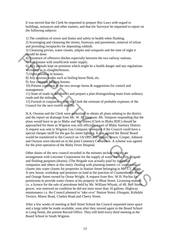It was moved that the Clerk be requested to prepare Bye Laws with regard to buildings, nuisances and other matters, and that the Surveyor be requested to report on the following subjects:

1) The condition of sewer and drains and safety to health when flushing.

2) Scavenging and cleansing the streets, footways and pavements, removal of refuse and providing receptacles for depositing rubbish.

3) Cleansing privies, water closets, ashpits and cesspools and the time of night it should be done.

4) Existence of offensive ditches especially between the two railway stations.

5) Any houses with insufficient water supply.

6) Any animals kept on premises which might be a health danger and any regulations necessary as to slaughterhouses.

7) Overcrowding in houses.

8) Any noxious trades such as boiling horse flesh, etc.

9) Any common lodging houses.

10) Present condition of the two sewage farms & suggestions for control and management.

11) State of roads in the district and prepare a plan distinguishing main from ordinary roads and the mileage.

12) Furnish in conjunction with the Clerk the estimate of probable expenses of the Council for the next twelve months.

H.A. Owston and the Clerk were authorised to obtain all plans relating to the district and the report on drainage from Mr. W. H. Simpson. Mr. Simpson responding that the plans would have to go to Blaby and Mr. Shires (Clerk to Blaby RDC) should be approached for them as Wigston was still officially a part of Blaby Sanitary District. A request was sent to Wigston Gas Company to enquire if the Council could have a special cheaper tariff for the gas for street lighting. It was agreed the Burial Board would be transferred to the Council on 1/6/1895 and Messrs. Bruce, Cooper, Johnson and Owston were elected on to the joint Cemetery Committee. A scheme was agreed for the joint operation of the Blaby Fever Hospital.

Other duties of the new council recorded in the minutes include making an arrangement with Leicester Corporation for the supply of water for the Fire Brigade and flushing purposes (drains). (The Brigade was actually paid by insurance companies and others at this time). Dealing with planning matters i.e. conversion of closets into water closets for properties in Station Street belonging to Mr. J.T. Biggs. A new house, workshop and premises on land at the junction of Countesthorpe Road and Orange Street owned by Orson Wright. A request from Rev. W.H. Pochin for permission to provide water closets at his property in Moat Street. Licensing matters i.e. a licence for the sale of petroleum held by Mr. William Whyatt, of 49, Bell Street, grocer, was renewed on condition he did not store more than 10 gallons. Highway maintenance i.e. the Council planned to "take over" Station Street, Glengate, Kirkdale Terrace, Manor Road, Clarkes Road and Cherry Street. should be done.<br>
4) Existence of offensive ditches especially between the two railway stations.<br>
4) Existence of offensive ditchest waver supply.<br>
6) Any animals kept on premises which might be a health danger and any reg

After a few weeks of meeting at Bell Street School the Council requested more space and a large table be made available, soon after they moved again to the Board School in Long Street, the present Record Office. They still held every third meeting at the Board School in South Wigston.